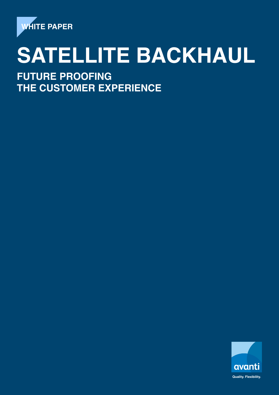

# **SATELLITE BACKHAUL**

**FUTURE PROOFING THE CUSTOMER EXPERIENCE**

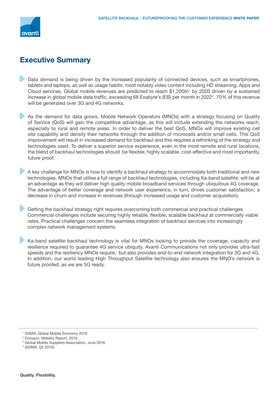

## **Executive Summary**

- Data demand is being driven by the increased popularity of connected devices, such as smartphones, tablets and laptops, as well as usage habits; most notably video content including HD streaming, Apps and Cloud services. Global mobile revenues are predicted to reach \$1,200tn<sup>1</sup> by 2020 driven by a sustained increase in global mobile data traffic, exceeding 68 Exabyte's (EB) per month in 2022<sup>2</sup>. 70% of this revenue will be generated over 3G and 4G networks.
- As the demand for data grows, Mobile Network Operators (MNOs) with a strategy focusing on Quality of Service (QoS) will gain the competitive advantage, as this will include extending the networks reach, especially to rural and remote areas. In order to deliver the best QoS, MNOs will improve existing cell site capability and densify their networks through the addition of microcells and/or small cells. This QoS improvement will result in increased demand for backhaul and this requires a rethinking of the strategy and technologies used. To deliver a superior service experience, even in the most remote and rural locations, the blend of backhaul technologies should be flexible, highly scalable, cost-effective and most importantly, future proof.
- A key challenge for MNOs is how to identify a backhaul strategy to accommodate both traditional and new technologies. MNOs that utilise a full range of backhaul technologies, including Ka-band satellite, will be at an advantage as they will deliver high quality mobile broadband services through ubiquitous 4G coverage. The advantage of better coverage and network user experience, in turn, drives customer satisfaction, a decrease in churn and increase in revenues (through increased usage and customer acquisition).
- Getting the backhaul strategy right requires overcoming both commercial and practical challenges. Commercial challenges include securing highly reliable, flexible, scalable backhaul at commercially viable rates. Practical challenges concern the seamless integration of backhaul services into increasingly complex network management systems.
- Ka-band satellite backhaul technology is vital for MNOs looking to provide the coverage, capacity and resilience required to guarantee 4G service ubiquity. Avanti Communications not only provides ultra-fast speeds and the resiliency MNOs require, but also provides end-to-end network integration for 3G and 4G. In addition, our world leading High Throughput Satellite technology also ensures the MNO's network is future proofed, as we are 5G ready.

<sup>1</sup> GSMA, Global Mobile Economy 2016

<sup>2</sup> Ericsson, Mobility Report, 2016

<sup>3</sup> Global Mobile Suppliers Association, June 2016.

<sup>4</sup> (GSMA, Q2 2016).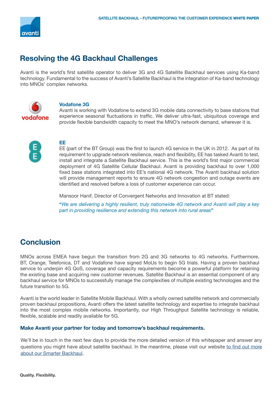

# **Resolving the 4G Backhaul Challenges**

Avanti is the world's first satellite operator to deliver 3G and 4G Satellite Backhaul services using Ka-band technology. Fundamental to the success of Avanti's Satellite Backhaul is the integration of Ka-band technology into MNOs' complex networks.



#### **Vodafone 3G**

Avanti is working with Vodafone to extend 3G mobile data connectivity to base stations that experience seasonal fluctuations in traffic. We deliver ultra-fast, ubiquitous coverage and provide flexible bandwidth capacity to meet the MNO's network demand, wherever it is.



#### **EE**

EE (part of the BT Group) was the first to launch 4G service in the UK in 2012. As part of its requirement to upgrade network resilience, reach and flexibility, EE has tasked Avanti to test, install and integrate a Satellite Backhaul service. This is the world's first major commercial deployment of 4G Satellite Cellular Backhaul. Avanti is providing backhaul to over 1,000 fixed base stations integrated into EE's national 4G network. The Avanti backhaul solution will provide management reports to ensure 4G network congestion and outage events are identified and resolved before a loss of customer experience can occur.

Mansoor Hanif, Director of Convergent Networks and Innovation at BT stated:

**"***We are delivering a highly resilient, truly nationwide 4G network and Avanti will play a key part in providing resilience and extending this network into rural areas***"** 

## **Conclusion**

 MNOs across EMEA have begun the transition from 2G and 3G networks to 4G networks. Furthermore, BT, Orange, Telefonica, DT and Vodafone have signed MoUs to begin 5G trials. Having a proven backhaul service to underpin 4G QoS, coverage and capacity requirements become a powerful platform for retaining the existing base and acquiring new customer revenues. Satellite Backhaul is an essential component of any backhaul service for MNOs to successfully manage the complexities of multiple existing technologies and the future transition to 5G.

 Avanti is the world leader in Satellite Mobile Backhaul. With a wholly owned satellite network and commercially proven backhaul propositions, Avanti offers the latest satellite technology and expertise to integrate backhaul into the most complex mobile networks. Importantly, our High Throughput Satellite technology is reliable, flexible, scalable and readily available for 5G.

#### **Make Avanti your partner for today and tomorrow's backhaul requirements.**

We'll be in touch in the next few days to provide the more detailed version of this whitepaper and answer any questions you might have about satellite backhaul. In the meantime, please visit our website [to find out more](http://goo.gl/rYUNNS) [about our Smarter Backhaul.](http://goo.gl/rYUNNS)